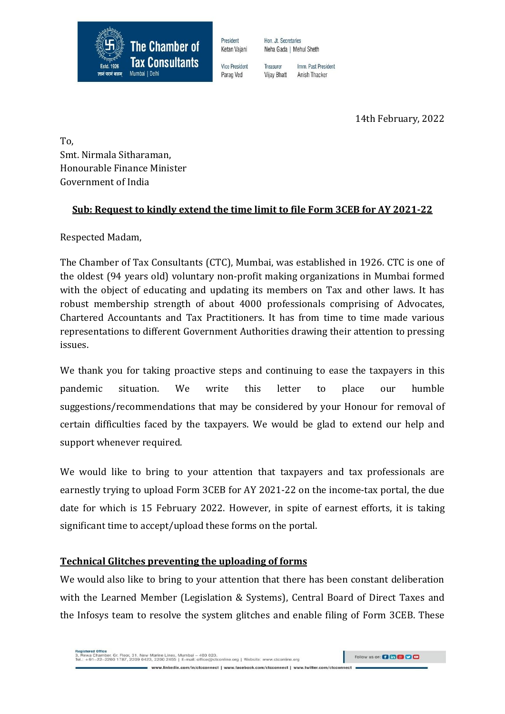

President Ketan Vajani Hon. Jt. Secretaries Neha Gada | Mehul Sheth

**Vice President** Parag Ved

Treasurer Imm. Past President Anish Thacker **Vijay Bhatt** 

14th February, 2022

To, Smt. Nirmala Sitharaman, Honourable Finance Minister Government of India

### **Sub: Request to kindly extend the time limit to file Form 3CEB for AY 2021-22**

Respected Madam,

The Chamber of Tax Consultants (CTC), Mumbai, was established in 1926. CTC is one of the oldest (94 years old) voluntary non-profit making organizations in Mumbai formed with the object of educating and updating its members on Tax and other laws. It has robust membership strength of about 4000 professionals comprising of Advocates, Chartered Accountants and Tax Practitioners. It has from time to time made various representations to different Government Authorities drawing their attention to pressing issues.

We thank you for taking proactive steps and continuing to ease the taxpayers in this pandemic situation. We write this letter to place our humble suggestions/recommendations that may be considered by your Honour for removal of certain difficulties faced by the taxpayers. We would be glad to extend our help and support whenever required.

We would like to bring to your attention that taxpayers and tax professionals are earnestly trying to upload Form 3CEB for AY 2021-22 on the income-tax portal, the due date for which is 15 February 2022. However, in spite of earnest efforts, it is taking significant time to accept/upload these forms on the portal.

#### **Technical Glitches preventing the uploading of forms**

We would also like to bring to your attention that there has been constant deliberation with the Learned Member (Legislation & Systems), Central Board of Direct Taxes and the Infosys team to resolve the system glitches and enable filing of Form 3CEB. These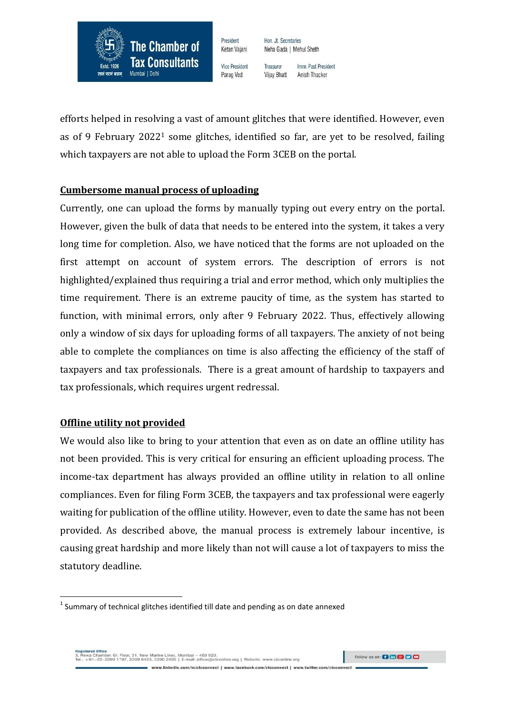

President Ketan Vajani Hon. Jt. Secretaries Neha Gada | Mehul Sheth

**Vice President** Parag Ved

Treasurer Imm. Past President Anish Thacker **Vijay Bhatt** 

efforts helped in resolving a vast of amount glitches that were identified. However, even as of 9 February 2022<sup>1</sup> some glitches, identified so far, are yet to be resolved, failing which taxpayers are not able to upload the Form 3CEB on the portal.

#### **Cumbersome manual process of uploading**

Currently, one can upload the forms by manually typing out every entry on the portal. However, given the bulk of data that needs to be entered into the system, it takes a very long time for completion. Also, we have noticed that the forms are not uploaded on the first attempt on account of system errors. The description of errors is not highlighted/explained thus requiring a trial and error method, which only multiplies the time requirement. There is an extreme paucity of time, as the system has started to function, with minimal errors, only after 9 February 2022. Thus, effectively allowing only a window of six days for uploading forms of all taxpayers. The anxiety of not being able to complete the compliances on time is also affecting the efficiency of the staff of taxpayers and tax professionals. There is a great amount of hardship to taxpayers and tax professionals, which requires urgent redressal.

#### **Offline utility not provided**

 $\overline{\phantom{a}}$ 

We would also like to bring to your attention that even as on date an offline utility has not been provided. This is very critical for ensuring an efficient uploading process. The income-tax department has always provided an offline utility in relation to all online compliances. Even for filing Form 3CEB, the taxpayers and tax professional were eagerly waiting for publication of the offline utility. However, even to date the same has not been provided. As described above, the manual process is extremely labour incentive, is causing great hardship and more likely than not will cause a lot of taxpayers to miss the statutory deadline.

www.linkedin.com/in/ctcconnect | www.facebook.com/ctcconnect | www.twitter.com/ctcconnect

egistered Office<br>, Rewa Chamber, Gr. Floor, 31, New Marine Lines. Mumbai – 400 020.<br>H.: +91–22–2200 1787, 2209 0423, 2200 2455 | E-mail: office@ctconline.org | Website: www.ctconline.org

 $^{\text{1}}$  Summary of technical glitches identified till date and pending as on date annexed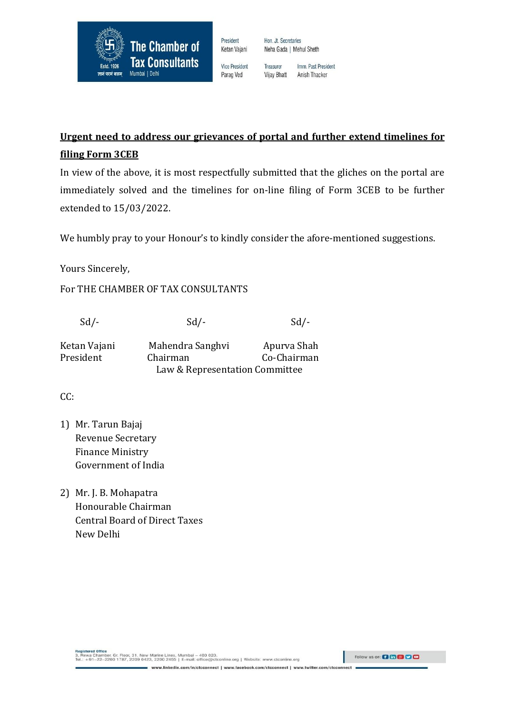

Ketan Vajani **Vice President** 

President

Hon. Jt. Secretaries Neha Gada | Mehul Sheth

Imm. Past President

Anish Thacker

Treasurer Parag Ved **Vijay Bhatt** 

**Urgent need to address our grievances of portal and further extend timelines for filing Form 3CEB**

In view of the above, it is most respectfully submitted that the gliches on the portal are immediately solved and the timelines for on-line filing of Form 3CEB to be further extended to 15/03/2022.

We humbly pray to your Honour's to kindly consider the afore-mentioned suggestions.

Yours Sincerely,

For THE CHAMBER OF TAX CONSULTANTS

 $Sd$ - $Sd$ - $Sd$ - $Sd$ -

| Ketan Vajani | Mahendra Sanghyi               | Apurva Shah |
|--------------|--------------------------------|-------------|
| President    | Chairman                       | Co-Chairman |
|              | Law & Representation Committee |             |

 $CC:$ 

- 1) Mr. Tarun Bajaj Revenue Secretary Finance Ministry Government of India
- 2) Mr. J. B. Mohapatra Honourable Chairman Central Board of Direct Taxes New Delhi

Registered Office<br>3. Rewa Chamber, Gr. Floor, 31, New Marine Lines, Mumbai – 400.020.<br>Tel.: +91–22–2200 1787, 2209 0423, 2200 2455 | E-mail: office@ctconline.org | Website: www.ctconline.org

Follow us on: **0 to 8 0 0** 

www.linkedin.com/in/ctcconnect | www.facebook.com/ctcconnect | www.twitter.com/ctcconnect =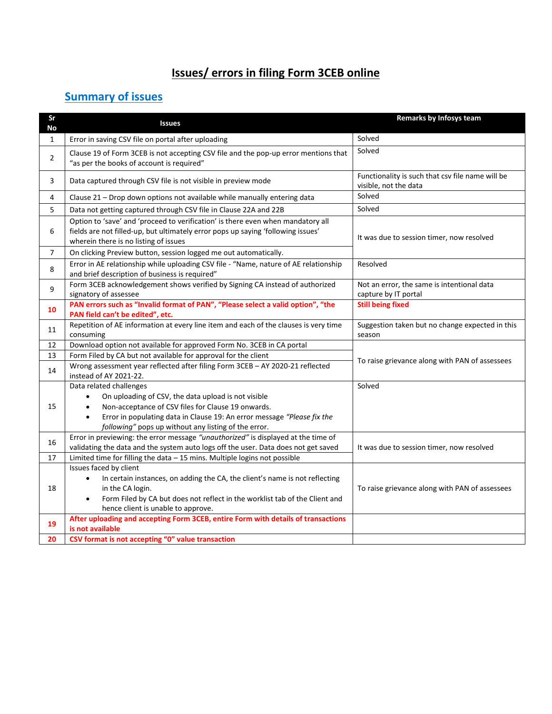# **Issues/ errors in filing Form 3CEB online**

## **Summary of issues**

| Sr<br>No     | <b>Issues</b>                                                                                                                                                                                                                                  | Remarks by Infosys team                                                   |
|--------------|------------------------------------------------------------------------------------------------------------------------------------------------------------------------------------------------------------------------------------------------|---------------------------------------------------------------------------|
| $\mathbf{1}$ | Error in saving CSV file on portal after uploading                                                                                                                                                                                             | Solved                                                                    |
| 2            | Clause 19 of Form 3CEB is not accepting CSV file and the pop-up error mentions that<br>"as per the books of account is required"                                                                                                               | Solved                                                                    |
| 3            | Data captured through CSV file is not visible in preview mode                                                                                                                                                                                  | Functionality is such that csv file name will be<br>visible, not the data |
| 4            | Clause 21 - Drop down options not available while manually entering data                                                                                                                                                                       | Solved                                                                    |
| 5            | Data not getting captured through CSV file in Clause 22A and 22B                                                                                                                                                                               | Solved                                                                    |
| 6            | Option to 'save' and 'proceed to verification' is there even when mandatory all<br>fields are not filled-up, but ultimately error pops up saying 'following issues'<br>wherein there is no listing of issues                                   | It was due to session timer, now resolved                                 |
| 7            | On clicking Preview button, session logged me out automatically.                                                                                                                                                                               |                                                                           |
| 8            | Error in AE relationship while uploading CSV file - "Name, nature of AE relationship<br>and brief description of business is required"                                                                                                         | Resolved                                                                  |
| 9            | Form 3CEB acknowledgement shows verified by Signing CA instead of authorized<br>signatory of assessee                                                                                                                                          | Not an error, the same is intentional data<br>capture by IT portal        |
| 10           | PAN errors such as "Invalid format of PAN", "Please select a valid option", "the<br>PAN field can't be edited", etc.                                                                                                                           | <b>Still being fixed</b>                                                  |
| 11           | Repetition of AE information at every line item and each of the clauses is very time<br>consuming                                                                                                                                              | Suggestion taken but no change expected in this<br>season                 |
| 12           | Download option not available for approved Form No. 3CEB in CA portal                                                                                                                                                                          |                                                                           |
| 13           | Form Filed by CA but not available for approval for the client                                                                                                                                                                                 | To raise grievance along with PAN of assessees                            |
| 14           | Wrong assessment year reflected after filing Form 3CEB - AY 2020-21 reflected<br>instead of AY 2021-22.                                                                                                                                        |                                                                           |
|              | Data related challenges                                                                                                                                                                                                                        | Solved                                                                    |
|              | On uploading of CSV, the data upload is not visible<br>$\bullet$                                                                                                                                                                               |                                                                           |
| 15           | Non-acceptance of CSV files for Clause 19 onwards.<br>$\bullet$                                                                                                                                                                                |                                                                           |
|              | Error in populating data in Clause 19: An error message "Please fix the<br>$\bullet$                                                                                                                                                           |                                                                           |
|              | following" pops up without any listing of the error.                                                                                                                                                                                           |                                                                           |
| 16           | Error in previewing: the error message "unauthorized" is displayed at the time of<br>validating the data and the system auto logs off the user. Data does not get saved                                                                        |                                                                           |
| 17           | Limited time for filling the data - 15 mins. Multiple logins not possible                                                                                                                                                                      | It was due to session timer, now resolved                                 |
|              | Issues faced by client                                                                                                                                                                                                                         |                                                                           |
| 18           | In certain instances, on adding the CA, the client's name is not reflecting<br>$\bullet$<br>in the CA login.<br>Form Filed by CA but does not reflect in the worklist tab of the Client and<br>$\bullet$<br>hence client is unable to approve. | To raise grievance along with PAN of assessees                            |
|              | After uploading and accepting Form 3CEB, entire Form with details of transactions                                                                                                                                                              |                                                                           |
| 19           | is not available                                                                                                                                                                                                                               |                                                                           |
| 20           | CSV format is not accepting "0" value transaction                                                                                                                                                                                              |                                                                           |